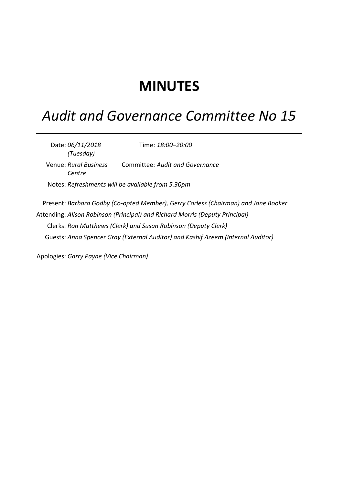## **MINUTES**

## *Audit and Governance Committee No 15*

Date: *06/11/2018 (Tuesday)* Time: *18:00–20:00* Venue: *Rural Business Centre* Committee: *Audit and Governance* Notes: *Refreshments will be available from 5.30pm* Present: *Barbara Godby (Co-opted Member), Gerry Corless (Chairman) and Jane Booker* Attending: *Alison Robinson (Principal) and Richard Morris (Deputy Principal)* Clerks: *Ron Matthews (Clerk) and Susan Robinson (Deputy Clerk)* Guests: *Anna Spencer Gray (External Auditor) and Kashif Azeem (Internal Auditor)*

Apologies: *Garry Payne (Vice Chairman)*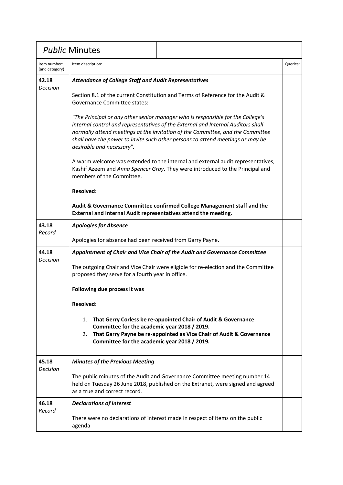| <b>Public Minutes</b>          |                                                                                                                                                                                   |                                                                                                                                                                                                                                                                                                                                                                                                                                                                                                                                                                                               |          |
|--------------------------------|-----------------------------------------------------------------------------------------------------------------------------------------------------------------------------------|-----------------------------------------------------------------------------------------------------------------------------------------------------------------------------------------------------------------------------------------------------------------------------------------------------------------------------------------------------------------------------------------------------------------------------------------------------------------------------------------------------------------------------------------------------------------------------------------------|----------|
| Item number:<br>(and category) | Item description:                                                                                                                                                                 |                                                                                                                                                                                                                                                                                                                                                                                                                                                                                                                                                                                               | Queries: |
| 42.18<br><b>Decision</b>       | <b>Attendance of College Staff and Audit Representatives</b><br><b>Governance Committee states:</b><br>desirable and necessary".<br>members of the Committee.<br><b>Resolved:</b> | Section 8.1 of the current Constitution and Terms of Reference for the Audit &<br>"The Principal or any other senior manager who is responsible for the College's<br>internal control and representatives of the External and Internal Auditors shall<br>normally attend meetings at the invitation of the Committee, and the Committee<br>shall have the power to invite such other persons to attend meetings as may be<br>A warm welcome was extended to the internal and external audit representatives,<br>Kashif Azeem and Anna Spencer Gray. They were introduced to the Principal and |          |
|                                | External and Internal Audit representatives attend the meeting.                                                                                                                   | Audit & Governance Committee confirmed College Management staff and the                                                                                                                                                                                                                                                                                                                                                                                                                                                                                                                       |          |
| 43.18<br>Record                | <b>Apologies for Absence</b><br>Apologies for absence had been received from Garry Payne.                                                                                         |                                                                                                                                                                                                                                                                                                                                                                                                                                                                                                                                                                                               |          |
| 44.18                          |                                                                                                                                                                                   | Appointment of Chair and Vice Chair of the Audit and Governance Committee                                                                                                                                                                                                                                                                                                                                                                                                                                                                                                                     |          |
| Decision                       | proposed they serve for a fourth year in office.                                                                                                                                  | The outgoing Chair and Vice Chair were eligible for re-election and the Committee                                                                                                                                                                                                                                                                                                                                                                                                                                                                                                             |          |
|                                | Following due process it was                                                                                                                                                      |                                                                                                                                                                                                                                                                                                                                                                                                                                                                                                                                                                                               |          |
|                                | <b>Resolved:</b>                                                                                                                                                                  |                                                                                                                                                                                                                                                                                                                                                                                                                                                                                                                                                                                               |          |
|                                | Committee for the academic year 2018 / 2019.<br>2.<br>Committee for the academic year 2018 / 2019.                                                                                | 1. That Gerry Corless be re-appointed Chair of Audit & Governance<br>That Garry Payne be re-appointed as Vice Chair of Audit & Governance                                                                                                                                                                                                                                                                                                                                                                                                                                                     |          |
| 45.18<br>Decision              | <b>Minutes of the Previous Meeting</b>                                                                                                                                            |                                                                                                                                                                                                                                                                                                                                                                                                                                                                                                                                                                                               |          |
|                                | as a true and correct record.                                                                                                                                                     | The public minutes of the Audit and Governance Committee meeting number 14<br>held on Tuesday 26 June 2018, published on the Extranet, were signed and agreed                                                                                                                                                                                                                                                                                                                                                                                                                                 |          |
| 46.18<br>Record                | <b>Declarations of Interest</b>                                                                                                                                                   |                                                                                                                                                                                                                                                                                                                                                                                                                                                                                                                                                                                               |          |
|                                | agenda                                                                                                                                                                            | There were no declarations of interest made in respect of items on the public                                                                                                                                                                                                                                                                                                                                                                                                                                                                                                                 |          |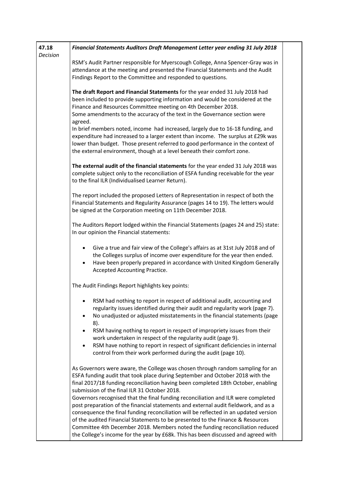| 47.18<br>Decision | Financial Statements Auditors Draft Management Letter year ending 31 July 2018                                                                                                                                                                                                                                                                                                                                                                                                                                            |
|-------------------|---------------------------------------------------------------------------------------------------------------------------------------------------------------------------------------------------------------------------------------------------------------------------------------------------------------------------------------------------------------------------------------------------------------------------------------------------------------------------------------------------------------------------|
|                   | RSM's Audit Partner responsible for Myerscough College, Anna Spencer-Gray was in<br>attendance at the meeting and presented the Financial Statements and the Audit<br>Findings Report to the Committee and responded to questions.                                                                                                                                                                                                                                                                                        |
|                   | The draft Report and Financial Statements for the year ended 31 July 2018 had<br>been included to provide supporting information and would be considered at the<br>Finance and Resources Committee meeting on 4th December 2018.<br>Some amendments to the accuracy of the text in the Governance section were                                                                                                                                                                                                            |
|                   | agreed.<br>In brief members noted, income had increased, largely due to 16-18 funding, and<br>expenditure had increased to a larger extent than income. The surplus at £29k was<br>lower than budget. Those present referred to good performance in the context of<br>the external environment, though at a level beneath their comfort zone.                                                                                                                                                                             |
|                   | The external audit of the financial statements for the year ended 31 July 2018 was<br>complete subject only to the reconciliation of ESFA funding receivable for the year<br>to the final ILR (Individualised Learner Return).                                                                                                                                                                                                                                                                                            |
|                   | The report included the proposed Letters of Representation in respect of both the<br>Financial Statements and Regularity Assurance (pages 14 to 19). The letters would<br>be signed at the Corporation meeting on 11th December 2018.                                                                                                                                                                                                                                                                                     |
|                   | The Auditors Report lodged within the Financial Statements (pages 24 and 25) state:<br>In our opinion the Financial statements:                                                                                                                                                                                                                                                                                                                                                                                           |
|                   | Give a true and fair view of the College's affairs as at 31st July 2018 and of<br>$\bullet$<br>the Colleges surplus of income over expenditure for the year then ended.<br>Have been properly prepared in accordance with United Kingdom Generally<br>$\bullet$<br>Accepted Accounting Practice.                                                                                                                                                                                                                          |
|                   | The Audit Findings Report highlights key points:                                                                                                                                                                                                                                                                                                                                                                                                                                                                          |
|                   | RSM had nothing to report in respect of additional audit, accounting and<br>regularity issues identified during their audit and regularity work (page 7).<br>No unadjusted or adjusted misstatements in the financial statements (page<br>8).<br>RSM having nothing to report in respect of impropriety issues from their                                                                                                                                                                                                 |
|                   | work undertaken in respect of the regularity audit (page 9).<br>RSM have nothing to report in respect of significant deficiencies in internal<br>$\bullet$<br>control from their work performed during the audit (page 10).                                                                                                                                                                                                                                                                                               |
|                   | As Governors were aware, the College was chosen through random sampling for an<br>ESFA funding audit that took place during September and October 2018 with the<br>final 2017/18 funding reconciliation having been completed 18th October, enabling<br>submission of the final ILR 31 October 2018.                                                                                                                                                                                                                      |
|                   | Governors recognised that the final funding reconciliation and ILR were completed<br>post preparation of the financial statements and external audit fieldwork, and as a<br>consequence the final funding reconciliation will be reflected in an updated version<br>of the audited Financial Statements to be presented to the Finance & Resources<br>Committee 4th December 2018. Members noted the funding reconciliation reduced<br>the College's income for the year by £68k. This has been discussed and agreed with |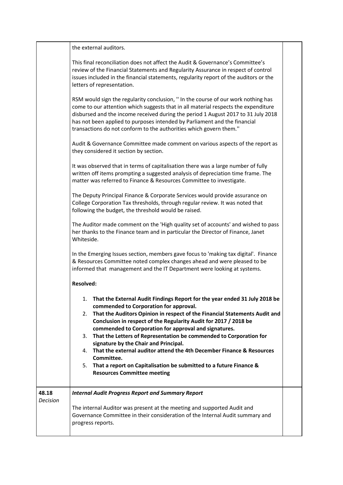|                          | the external auditors.                                                                                                                                                                                                                                                                                                                                                                                                                                                                                                                                                                                                                                                       |  |
|--------------------------|------------------------------------------------------------------------------------------------------------------------------------------------------------------------------------------------------------------------------------------------------------------------------------------------------------------------------------------------------------------------------------------------------------------------------------------------------------------------------------------------------------------------------------------------------------------------------------------------------------------------------------------------------------------------------|--|
|                          | This final reconciliation does not affect the Audit & Governance's Committee's<br>review of the Financial Statements and Regularity Assurance in respect of control<br>issues included in the financial statements, regularity report of the auditors or the<br>letters of representation.                                                                                                                                                                                                                                                                                                                                                                                   |  |
|                          | RSM would sign the regularity conclusion, " In the course of our work nothing has<br>come to our attention which suggests that in all material respects the expenditure<br>disbursed and the income received during the period 1 August 2017 to 31 July 2018<br>has not been applied to purposes intended by Parliament and the financial<br>transactions do not conform to the authorities which govern them."                                                                                                                                                                                                                                                              |  |
|                          | Audit & Governance Committee made comment on various aspects of the report as<br>they considered it section by section.                                                                                                                                                                                                                                                                                                                                                                                                                                                                                                                                                      |  |
|                          | It was observed that in terms of capitalisation there was a large number of fully<br>written off items prompting a suggested analysis of depreciation time frame. The<br>matter was referred to Finance & Resources Committee to investigate.                                                                                                                                                                                                                                                                                                                                                                                                                                |  |
|                          | The Deputy Principal Finance & Corporate Services would provide assurance on<br>College Corporation Tax thresholds, through regular review. It was noted that<br>following the budget, the threshold would be raised.                                                                                                                                                                                                                                                                                                                                                                                                                                                        |  |
|                          | The Auditor made comment on the 'High quality set of accounts' and wished to pass<br>her thanks to the Finance team and in particular the Director of Finance, Janet<br>Whiteside.                                                                                                                                                                                                                                                                                                                                                                                                                                                                                           |  |
|                          | In the Emerging Issues section, members gave focus to 'making tax digital'. Finance<br>& Resources Committee noted complex changes ahead and were pleased to be<br>informed that management and the IT Department were looking at systems.                                                                                                                                                                                                                                                                                                                                                                                                                                   |  |
|                          | <b>Resolved:</b>                                                                                                                                                                                                                                                                                                                                                                                                                                                                                                                                                                                                                                                             |  |
|                          | That the External Audit Findings Report for the year ended 31 July 2018 be<br>1.<br>commended to Corporation for approval.<br>That the Auditors Opinion in respect of the Financial Statements Audit and<br>2.<br>Conclusion in respect of the Regularity Audit for 2017 / 2018 be<br>commended to Corporation for approval and signatures.<br>That the Letters of Representation be commended to Corporation for<br>3.<br>signature by the Chair and Principal.<br>That the external auditor attend the 4th December Finance & Resources<br>4.<br>Committee.<br>5. That a report on Capitalisation be submitted to a future Finance &<br><b>Resources Committee meeting</b> |  |
| 48.18<br><b>Decision</b> | <b>Internal Audit Progress Report and Summary Report</b>                                                                                                                                                                                                                                                                                                                                                                                                                                                                                                                                                                                                                     |  |
|                          | The internal Auditor was present at the meeting and supported Audit and<br>Governance Committee in their consideration of the Internal Audit summary and<br>progress reports.                                                                                                                                                                                                                                                                                                                                                                                                                                                                                                |  |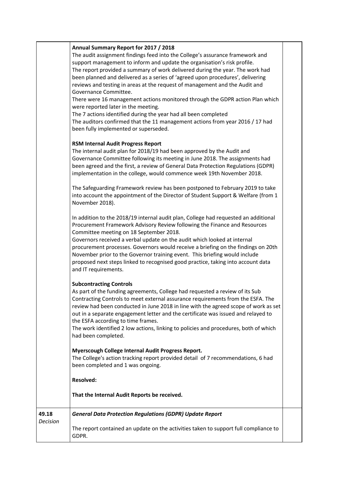|                   | Annual Summary Report for 2017 / 2018<br>The audit assignment findings feed into the College's assurance framework and<br>support management to inform and update the organisation's risk profile.<br>The report provided a summary of work delivered during the year. The work had<br>been planned and delivered as a series of 'agreed upon procedures', delivering<br>reviews and testing in areas at the request of management and the Audit and<br>Governance Committee.<br>There were 16 management actions monitored through the GDPR action Plan which<br>were reported later in the meeting.<br>The 7 actions identified during the year had all been completed<br>The auditors confirmed that the 11 management actions from year 2016 / 17 had<br>been fully implemented or superseded. |  |
|-------------------|----------------------------------------------------------------------------------------------------------------------------------------------------------------------------------------------------------------------------------------------------------------------------------------------------------------------------------------------------------------------------------------------------------------------------------------------------------------------------------------------------------------------------------------------------------------------------------------------------------------------------------------------------------------------------------------------------------------------------------------------------------------------------------------------------|--|
|                   | <b>RSM Internal Audit Progress Report</b><br>The internal audit plan for 2018/19 had been approved by the Audit and<br>Governance Committee following its meeting in June 2018. The assignments had<br>been agreed and the first, a review of General Data Protection Regulations (GDPR)<br>implementation in the college, would commence week 19th November 2018.<br>The Safeguarding Framework review has been postponed to February 2019 to take<br>into account the appointment of the Director of Student Support & Welfare (from 1                                                                                                                                                                                                                                                           |  |
|                   | November 2018).<br>In addition to the 2018/19 internal audit plan, College had requested an additional<br>Procurement Framework Advisory Review following the Finance and Resources<br>Committee meeting on 18 September 2018.<br>Governors received a verbal update on the audit which looked at internal<br>procurement processes. Governors would receive a briefing on the findings on 20th<br>November prior to the Governor training event. This briefing would include<br>proposed next steps linked to recognised good practice, taking into account data<br>and IT requirements.                                                                                                                                                                                                          |  |
|                   | <b>Subcontracting Controls</b><br>As part of the funding agreements, College had requested a review of its Sub<br>Contracting Controls to meet external assurance requirements from the ESFA. The<br>review had been conducted in June 2018 in line with the agreed scope of work as set<br>out in a separate engagement letter and the certificate was issued and relayed to<br>the ESFA according to time frames.<br>The work identified 2 low actions, linking to policies and procedures, both of which<br>had been completed.                                                                                                                                                                                                                                                                 |  |
|                   | Myerscough College Internal Audit Progress Report.<br>The College's action tracking report provided detail of 7 recommendations, 6 had<br>been completed and 1 was ongoing.                                                                                                                                                                                                                                                                                                                                                                                                                                                                                                                                                                                                                        |  |
|                   | <b>Resolved:</b><br>That the Internal Audit Reports be received.                                                                                                                                                                                                                                                                                                                                                                                                                                                                                                                                                                                                                                                                                                                                   |  |
| 49.18<br>Decision | <b>General Data Protection Regulations (GDPR) Update Report</b>                                                                                                                                                                                                                                                                                                                                                                                                                                                                                                                                                                                                                                                                                                                                    |  |
|                   | The report contained an update on the activities taken to support full compliance to<br>GDPR.                                                                                                                                                                                                                                                                                                                                                                                                                                                                                                                                                                                                                                                                                                      |  |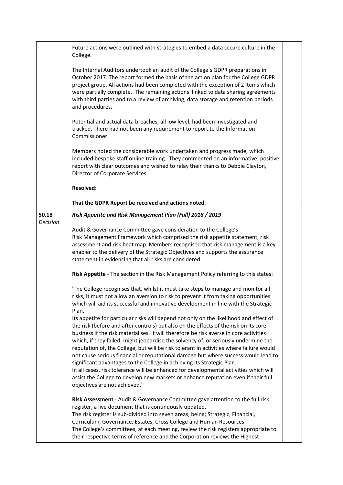|                   | Future actions were outlined with strategies to embed a data secure culture in the<br>College.                                                                                                                                                                                                                                                                                                                                                                                                                                                                                                                                                                                                                                                                                                                                                                                                                                                                                                                                                                                                                          |  |
|-------------------|-------------------------------------------------------------------------------------------------------------------------------------------------------------------------------------------------------------------------------------------------------------------------------------------------------------------------------------------------------------------------------------------------------------------------------------------------------------------------------------------------------------------------------------------------------------------------------------------------------------------------------------------------------------------------------------------------------------------------------------------------------------------------------------------------------------------------------------------------------------------------------------------------------------------------------------------------------------------------------------------------------------------------------------------------------------------------------------------------------------------------|--|
|                   | The Internal Auditors undertook an audit of the College's GDPR preparations in<br>October 2017. The report formed the basis of the action plan for the College GDPR<br>project group. All actions had been completed with the exception of 2 items which<br>were partially complete. The remaining actions linked to data sharing agreements<br>with third parties and to a review of archiving, data storage and retention periods<br>and procedures.                                                                                                                                                                                                                                                                                                                                                                                                                                                                                                                                                                                                                                                                  |  |
|                   | Potential and actual data breaches, all low level, had been investigated and<br>tracked. There had not been any requirement to report to the Information<br>Commissioner.                                                                                                                                                                                                                                                                                                                                                                                                                                                                                                                                                                                                                                                                                                                                                                                                                                                                                                                                               |  |
|                   | Members noted the considerable work undertaken and progress made, which<br>included bespoke staff online training. They commented on an informative, positive<br>report with clear outcomes and wished to relay their thanks to Debbie Clayton,<br>Director of Corporate Services.                                                                                                                                                                                                                                                                                                                                                                                                                                                                                                                                                                                                                                                                                                                                                                                                                                      |  |
|                   | <b>Resolved:</b>                                                                                                                                                                                                                                                                                                                                                                                                                                                                                                                                                                                                                                                                                                                                                                                                                                                                                                                                                                                                                                                                                                        |  |
|                   | That the GDPR Report be received and actions noted.                                                                                                                                                                                                                                                                                                                                                                                                                                                                                                                                                                                                                                                                                                                                                                                                                                                                                                                                                                                                                                                                     |  |
| 50.18<br>Decision | Risk Appetite and Risk Management Plan (Full) 2018 / 2019                                                                                                                                                                                                                                                                                                                                                                                                                                                                                                                                                                                                                                                                                                                                                                                                                                                                                                                                                                                                                                                               |  |
|                   | Audit & Governance Committee gave consideration to the College's<br>Risk Management Framework which comprised the risk appetite statement, risk<br>assessment and risk heat map. Members recognised that risk management is a key<br>enabler to the delivery of the Strategic Objectives and supports the assurance<br>statement in evidencing that all risks are considered.                                                                                                                                                                                                                                                                                                                                                                                                                                                                                                                                                                                                                                                                                                                                           |  |
|                   | Risk Appetite - The section in the Risk Management Policy referring to this states:                                                                                                                                                                                                                                                                                                                                                                                                                                                                                                                                                                                                                                                                                                                                                                                                                                                                                                                                                                                                                                     |  |
|                   | 'The College recognises that, whilst it must take steps to manage and monitor all<br>risks, it must not allow an aversion to risk to prevent it from taking opportunities<br>which will aid its successful and innovative development in line with the Strategic<br>Plan.<br>Its appetite for particular risks will depend not only on the likelihood and effect of<br>the risk (before and after controls) but also on the effects of the risk on its core<br>business if the risk materialises. It will therefore be risk averse in core activities<br>which, if they failed, might jeopardise the solvency of, or seriously undermine the<br>reputation of, the College, but will be risk tolerant in activities where failure would<br>not cause serious financial or reputational damage but where success would lead to<br>significant advantages to the College in achieving its Strategic Plan.<br>In all cases, risk tolerance will be enhanced for developmental activities which will<br>assist the College to develop new markets or enhance reputation even if their full<br>objectives are not achieved.' |  |
|                   | Risk Assessment - Audit & Governance Committee gave attention to the full risk<br>register, a live document that is continuously updated.<br>The risk register is sub-divided into seven areas, being; Strategic, Financial,<br>Curriculum, Governance, Estates, Cross College and Human Resources.<br>The College's committees, at each meeting, review the risk registers appropriate to<br>their respective terms of reference and the Corporation reviews the Highest                                                                                                                                                                                                                                                                                                                                                                                                                                                                                                                                                                                                                                               |  |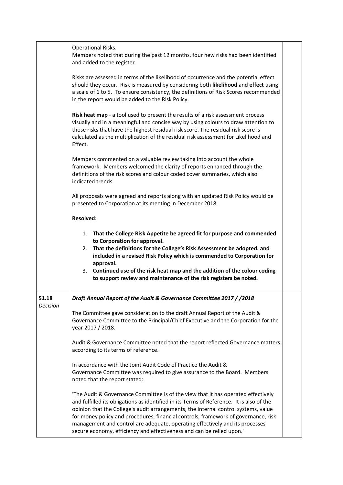|          | Operational Risks.<br>Members noted that during the past 12 months, four new risks had been identified<br>and added to the register.                                                                                                                                                                                                                                                                                                                                                                              |  |
|----------|-------------------------------------------------------------------------------------------------------------------------------------------------------------------------------------------------------------------------------------------------------------------------------------------------------------------------------------------------------------------------------------------------------------------------------------------------------------------------------------------------------------------|--|
|          | Risks are assessed in terms of the likelihood of occurrence and the potential effect<br>should they occur. Risk is measured by considering both likelihood and effect using<br>a scale of 1 to 5. To ensure consistency, the definitions of Risk Scores recommended<br>in the report would be added to the Risk Policy.                                                                                                                                                                                           |  |
|          | Risk heat map - a tool used to present the results of a risk assessment process<br>visually and in a meaningful and concise way by using colours to draw attention to<br>those risks that have the highest residual risk score. The residual risk score is<br>calculated as the multiplication of the residual risk assessment for Likelihood and<br>Effect.                                                                                                                                                      |  |
|          | Members commented on a valuable review taking into account the whole<br>framework. Members welcomed the clarity of reports enhanced through the<br>definitions of the risk scores and colour coded cover summaries, which also<br>indicated trends.                                                                                                                                                                                                                                                               |  |
|          | All proposals were agreed and reports along with an updated Risk Policy would be<br>presented to Corporation at its meeting in December 2018.                                                                                                                                                                                                                                                                                                                                                                     |  |
|          | <b>Resolved:</b>                                                                                                                                                                                                                                                                                                                                                                                                                                                                                                  |  |
|          | That the College Risk Appetite be agreed fit for purpose and commended<br>1.<br>to Corporation for approval.<br>2. That the definitions for the College's Risk Assessment be adopted. and<br>included in a revised Risk Policy which is commended to Corporation for<br>approval.<br>3. Continued use of the risk heat map and the addition of the colour coding<br>to support review and maintenance of the risk registers be noted.                                                                             |  |
| 51.18    | Draft Annual Report of the Audit & Governance Committee 2017 / / 2018                                                                                                                                                                                                                                                                                                                                                                                                                                             |  |
| Decision | The Committee gave consideration to the draft Annual Report of the Audit &<br>Governance Committee to the Principal/Chief Executive and the Corporation for the<br>year 2017 / 2018.                                                                                                                                                                                                                                                                                                                              |  |
|          | Audit & Governance Committee noted that the report reflected Governance matters<br>according to its terms of reference.                                                                                                                                                                                                                                                                                                                                                                                           |  |
|          | In accordance with the Joint Audit Code of Practice the Audit &<br>Governance Committee was required to give assurance to the Board. Members<br>noted that the report stated:                                                                                                                                                                                                                                                                                                                                     |  |
|          | The Audit & Governance Committee is of the view that it has operated effectively<br>and fulfilled its obligations as identified in its Terms of Reference. It is also of the<br>opinion that the College's audit arrangements, the internal control systems, value<br>for money policy and procedures, financial controls, framework of governance, risk<br>management and control are adequate, operating effectively and its processes<br>secure economy, efficiency and effectiveness and can be relied upon.' |  |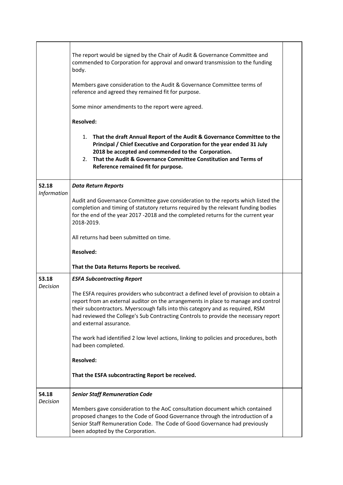|                          | The report would be signed by the Chair of Audit & Governance Committee and<br>commended to Corporation for approval and onward transmission to the funding<br>body.<br>Members gave consideration to the Audit & Governance Committee terms of<br>reference and agreed they remained fit for purpose.<br>Some minor amendments to the report were agreed.                     |  |
|--------------------------|--------------------------------------------------------------------------------------------------------------------------------------------------------------------------------------------------------------------------------------------------------------------------------------------------------------------------------------------------------------------------------|--|
|                          | <b>Resolved:</b>                                                                                                                                                                                                                                                                                                                                                               |  |
|                          | 1. That the draft Annual Report of the Audit & Governance Committee to the<br>Principal / Chief Executive and Corporation for the year ended 31 July<br>2018 be accepted and commended to the Corporation.<br>That the Audit & Governance Committee Constitution and Terms of<br>2.<br>Reference remained fit for purpose.                                                     |  |
| 52.18                    | <b>Data Return Reports</b>                                                                                                                                                                                                                                                                                                                                                     |  |
| Information              | Audit and Governance Committee gave consideration to the reports which listed the<br>completion and timing of statutory returns required by the relevant funding bodies<br>for the end of the year 2017 -2018 and the completed returns for the current year<br>2018-2019.<br>All returns had been submitted on time.                                                          |  |
|                          | <b>Resolved:</b>                                                                                                                                                                                                                                                                                                                                                               |  |
|                          | That the Data Returns Reports be received.                                                                                                                                                                                                                                                                                                                                     |  |
| 53.18                    | <b>ESFA Subcontracting Report</b>                                                                                                                                                                                                                                                                                                                                              |  |
| Decision                 | The ESFA requires providers who subcontract a defined level of provision to obtain a<br>report from an external auditor on the arrangements in place to manage and control<br>their subcontractors. Myerscough falls into this category and as required, RSM<br>had reviewed the College's Sub Contracting Controls to provide the necessary report<br>and external assurance. |  |
|                          | The work had identified 2 low level actions, linking to policies and procedures, both<br>had been completed.                                                                                                                                                                                                                                                                   |  |
|                          | <b>Resolved:</b>                                                                                                                                                                                                                                                                                                                                                               |  |
|                          | That the ESFA subcontracting Report be received.                                                                                                                                                                                                                                                                                                                               |  |
| 54.18<br><b>Decision</b> | <b>Senior Staff Remuneration Code</b>                                                                                                                                                                                                                                                                                                                                          |  |
|                          | Members gave consideration to the AoC consultation document which contained<br>proposed changes to the Code of Good Governance through the introduction of a<br>Senior Staff Remuneration Code. The Code of Good Governance had previously<br>been adopted by the Corporation.                                                                                                 |  |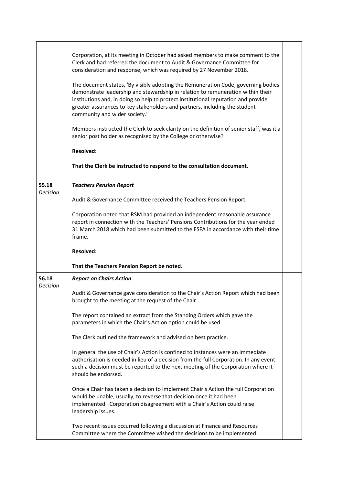|                          | Corporation, at its meeting in October had asked members to make comment to the<br>Clerk and had referred the document to Audit & Governance Committee for<br>consideration and response, which was required by 27 November 2018.<br>The document states, 'By visibly adopting the Remuneration Code, governing bodies<br>demonstrate leadership and stewardship in relation to remuneration within their<br>institutions and, in doing so help to protect institutional reputation and provide<br>greater assurances to key stakeholders and partners, including the student<br>community and wider society.'<br>Members instructed the Clerk to seek clarity on the definition of senior staff, was it a<br>senior post holder as recognised by the College or otherwise?<br><b>Resolved:</b><br>That the Clerk be instructed to respond to the consultation document. |  |
|--------------------------|--------------------------------------------------------------------------------------------------------------------------------------------------------------------------------------------------------------------------------------------------------------------------------------------------------------------------------------------------------------------------------------------------------------------------------------------------------------------------------------------------------------------------------------------------------------------------------------------------------------------------------------------------------------------------------------------------------------------------------------------------------------------------------------------------------------------------------------------------------------------------|--|
| 55.18                    | <b>Teachers Pension Report</b>                                                                                                                                                                                                                                                                                                                                                                                                                                                                                                                                                                                                                                                                                                                                                                                                                                           |  |
| <b>Decision</b>          | Audit & Governance Committee received the Teachers Pension Report.                                                                                                                                                                                                                                                                                                                                                                                                                                                                                                                                                                                                                                                                                                                                                                                                       |  |
|                          | Corporation noted that RSM had provided an independent reasonable assurance<br>report in connection with the Teachers' Pensions Contributions for the year ended<br>31 March 2018 which had been submitted to the ESFA in accordance with their time<br>frame.                                                                                                                                                                                                                                                                                                                                                                                                                                                                                                                                                                                                           |  |
|                          | <b>Resolved:</b>                                                                                                                                                                                                                                                                                                                                                                                                                                                                                                                                                                                                                                                                                                                                                                                                                                                         |  |
|                          | That the Teachers Pension Report be noted.                                                                                                                                                                                                                                                                                                                                                                                                                                                                                                                                                                                                                                                                                                                                                                                                                               |  |
| 56.18<br><b>Decision</b> | <b>Report on Chairs Action</b>                                                                                                                                                                                                                                                                                                                                                                                                                                                                                                                                                                                                                                                                                                                                                                                                                                           |  |
|                          | Audit & Governance gave consideration to the Chair's Action Report which had been<br>brought to the meeting at the request of the Chair.                                                                                                                                                                                                                                                                                                                                                                                                                                                                                                                                                                                                                                                                                                                                 |  |
|                          | The report contained an extract from the Standing Orders which gave the<br>parameters in which the Chair's Action option could be used.                                                                                                                                                                                                                                                                                                                                                                                                                                                                                                                                                                                                                                                                                                                                  |  |
|                          | The Clerk outlined the framework and advised on best practice.                                                                                                                                                                                                                                                                                                                                                                                                                                                                                                                                                                                                                                                                                                                                                                                                           |  |
|                          | In general the use of Chair's Action is confined to instances were an immediate<br>authorisation is needed in lieu of a decision from the full Corporation. In any event<br>such a decision must be reported to the next meeting of the Corporation where it<br>should be endorsed.                                                                                                                                                                                                                                                                                                                                                                                                                                                                                                                                                                                      |  |
|                          | Once a Chair has taken a decision to implement Chair's Action the full Corporation<br>would be unable, usually, to reverse that decision once it had been<br>implemented. Corporation disagreement with a Chair's Action could raise<br>leadership issues.                                                                                                                                                                                                                                                                                                                                                                                                                                                                                                                                                                                                               |  |
|                          | Two recent issues occurred following a discussion at Finance and Resources<br>Committee where the Committee wished the decisions to be implemented                                                                                                                                                                                                                                                                                                                                                                                                                                                                                                                                                                                                                                                                                                                       |  |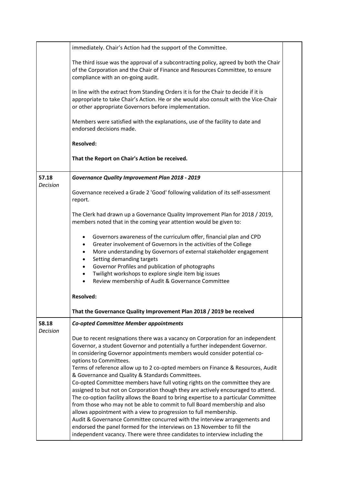| The third issue was the approval of a subcontracting policy, agreed by both the Chair |
|---------------------------------------------------------------------------------------|
|                                                                                       |
|                                                                                       |
|                                                                                       |
|                                                                                       |
|                                                                                       |
|                                                                                       |
|                                                                                       |
|                                                                                       |
|                                                                                       |
|                                                                                       |
|                                                                                       |
|                                                                                       |
|                                                                                       |
|                                                                                       |
|                                                                                       |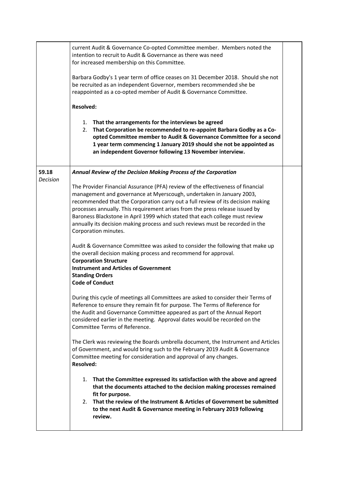|                          | current Audit & Governance Co-opted Committee member. Members noted the<br>intention to recruit to Audit & Governance as there was need<br>for increased membership on this Committee.<br>Barbara Godby's 1 year term of office ceases on 31 December 2018. Should she not                                                                                                                                                                                                                                          |  |
|--------------------------|---------------------------------------------------------------------------------------------------------------------------------------------------------------------------------------------------------------------------------------------------------------------------------------------------------------------------------------------------------------------------------------------------------------------------------------------------------------------------------------------------------------------|--|
|                          | be recruited as an independent Governor, members recommended she be<br>reappointed as a co-opted member of Audit & Governance Committee.<br><b>Resolved:</b>                                                                                                                                                                                                                                                                                                                                                        |  |
|                          |                                                                                                                                                                                                                                                                                                                                                                                                                                                                                                                     |  |
|                          | 1. That the arrangements for the interviews be agreed<br>That Corporation be recommended to re-appoint Barbara Godby as a Co-<br>2.<br>opted Committee member to Audit & Governance Committee for a second<br>1 year term commencing 1 January 2019 should she not be appointed as<br>an independent Governor following 13 November interview.                                                                                                                                                                      |  |
| 59.18<br><b>Decision</b> | Annual Review of the Decision Making Process of the Corporation                                                                                                                                                                                                                                                                                                                                                                                                                                                     |  |
|                          | The Provider Financial Assurance (PFA) review of the effectiveness of financial<br>management and governance at Myerscough, undertaken in January 2003,<br>recommended that the Corporation carry out a full review of its decision making<br>processes annually. This requirement arises from the press release issued by<br>Baroness Blackstone in April 1999 which stated that each college must review<br>annually its decision making process and such reviews must be recorded in the<br>Corporation minutes. |  |
|                          | Audit & Governance Committee was asked to consider the following that make up<br>the overall decision making process and recommend for approval.<br><b>Corporation Structure</b><br><b>Instrument and Articles of Government</b><br><b>Standing Orders</b><br><b>Code of Conduct</b>                                                                                                                                                                                                                                |  |
|                          | During this cycle of meetings all Committees are asked to consider their Terms of<br>Reference to ensure they remain fit for purpose. The Terms of Reference for<br>the Audit and Governance Committee appeared as part of the Annual Report<br>considered earlier in the meeting. Approval dates would be recorded on the<br>Committee Terms of Reference.                                                                                                                                                         |  |
|                          | The Clerk was reviewing the Boards umbrella document, the Instrument and Articles<br>of Government, and would bring such to the February 2019 Audit & Governance<br>Committee meeting for consideration and approval of any changes.<br><b>Resolved:</b>                                                                                                                                                                                                                                                            |  |
|                          | That the Committee expressed its satisfaction with the above and agreed<br>1.<br>that the documents attached to the decision making processes remained<br>fit for purpose.<br>2. That the review of the Instrument & Articles of Government be submitted<br>to the next Audit & Governance meeting in February 2019 following<br>review.                                                                                                                                                                            |  |